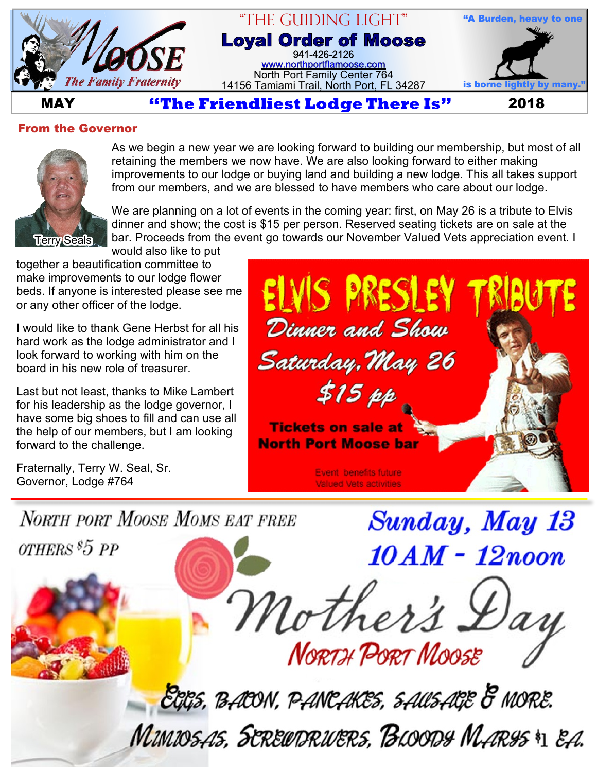

#### "The Guiding Light" **Loyal Order of Moose** 941-426-2126 [www.northportflamoose.com](http://www.northportflamoose.com) North Port Family Center 764 14156 Tamiami Trail, North Port, FL 34287



**MAY** *Extendliest Lodge There Is* **2018** 

#### **From the Governor**



As we begin a new year we are looking forward to building our membership, but most of all retaining the members we now have. We are also looking forward to either making improvements to our lodge or buying land and building a new lodge. This all takes support from our members, and we are blessed to have members who care about our lodge.

We are planning on a lot of events in the coming year: first, on May 26 is a tribute to Elvis dinner and show; the cost is \$15 per person. Reserved seating tickets are on sale at the bar. Proceeds from the event go towards our November Valued Vets appreciation event. I would also like to put

together a beautification committee to make improvements to our lodge flower beds. If anyone is interested please see me or any other officer of the lodge.

I would like to thank Gene Herbst for all his hard work as the lodge administrator and I look forward to working with him on the board in his new role of treasurer.

Last but not least, thanks to Mike Lambert for his leadership as the lodge governor, I have some big shoes to fill and can use all the help of our members, but I am looking forward to the challenge.

Fraternally, Terry W. Seal, Sr. Governor, Lodge #764

Dinner and Show Saturday, May 26  $$15~pp$ **Tickets on sale at North Port Moose bar Event benefits future Valued Vets activities** 

**Sunday, May 13** 

**NORTH PORT MOOSE MOMS EAT FREE** 

*OTHERS*<sup>\$5</sup>*PP* 

10 AM - 12noon Mother's L **NORTH PORT MOOSE** 

EGGS, BACON, PANCAKES, SAUSAGE & MORE. MUNIOSAS, SEREUDRUERS, BLOODS MARSS \*1 EA.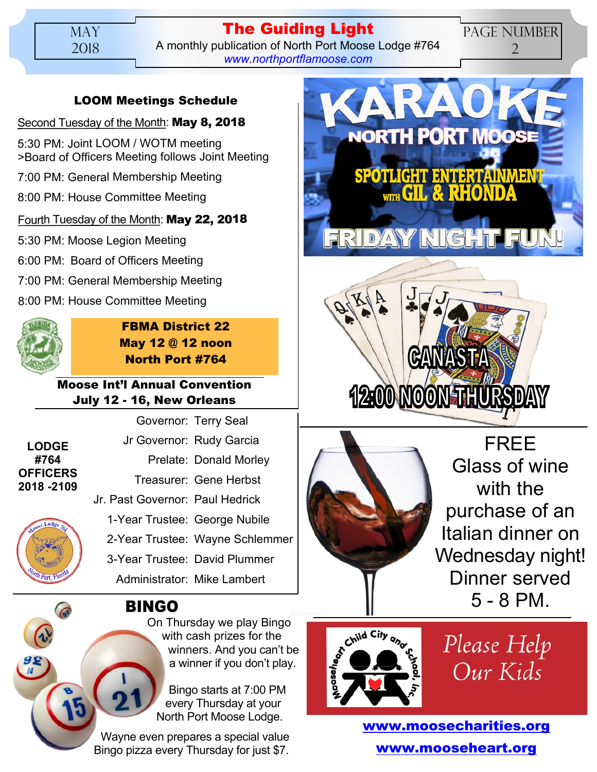### **The Guiding Light** A monthly publication of North Port Moose Lodge #764 *[www.northportflamoose.com](http://www.northportflamoose.com)*

## PAGE NUMBER 2

# **LOOM Meetings Schedule**

### Second Tuesday of the Month: **May 8, 2018**

5:30 PM: Joint LOOM / WOTM meeting >Board of Officers Meeting follows Joint Meeting

7:00 PM: General Membership Meeting

8:00 PM: House Committee Meeting

### Fourth Tuesday of the Month: **May 22, 2018**

5:30 PM: Moose Legion Meeting

6:00 PM: Board of Officers Meeting

7:00 PM: General Membership Meeting

8:00 PM: House Committee Meeting



**FBMA District 22 May 12 @ 12 noon North Port #764**

### **Moose Int'l Annual Convention July 12 - 16, New Orleans**

|                                |                                 | Governor: Terry Seal            |
|--------------------------------|---------------------------------|---------------------------------|
| <b>LODGE</b><br>#764           |                                 | Jr Governor: Rudy Garcia        |
|                                |                                 | Prelate: Donald Morley          |
| <b>OFFICERS</b><br>2018 - 2109 |                                 | Treasurer: Gene Herbst          |
| Appse Lodge 76<br>Th Port, FV  | Jr. Past Governor: Paul Hedrick |                                 |
|                                | 1-Year Trustee: George Nubile   |                                 |
|                                |                                 | 2-Year Trustee: Wayne Schlemmer |
|                                | 3-Year Trustee: David Plummer   |                                 |
|                                | Administrator: Mike Lambert     |                                 |
|                                |                                 |                                 |



# **BINGO**

On Thursday we play Bingo with cash prizes for the winners. And you can't be a winner if you don't play.

Bingo starts at 7:00 PM every Thursday at your North Port Moose Lodge.

Wayne even prepares a special value Bingo pizza every Thursday for just \$7.







FREE Glass of wine with the purchase of an Italian dinner on Wednesday night! Dinner served 5 - 8 PM.



Please Help Our Kids

**[www.moosecharities.org](http://www.moosecharities.org) [www.mooseheart.org](http://www.mooseheart.org)**